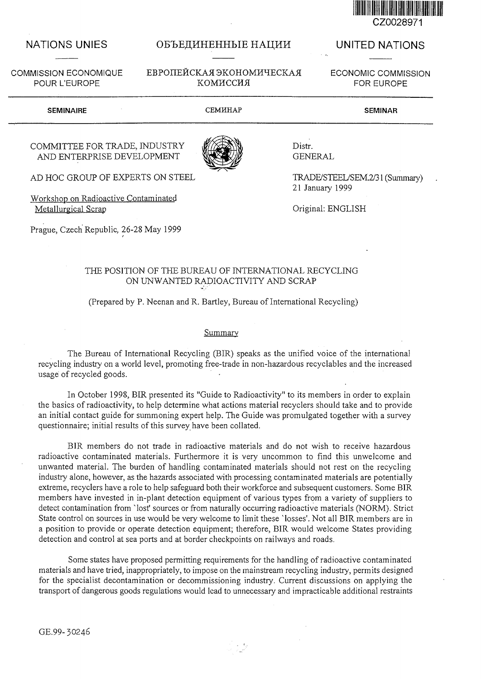

COMMISSION ECONOMIQUE POUR L'EUROPE

# NATIONS UNIES OБЪЕДИНЕННЫЕ НАЦИИ UNITED NATIONS

EBPOIIEЙCКАЯ ЭКОНОМИЧЕСКАЯ КОМИССИЯ

ECONOMIC COMMISSION FOR EUROPE

SEMINAIRE CEMHHAP SEMINAR

## COMMITTEE FOR TRADE, INDUSTRY AND ENTERPRISE DEVELOPMENT

AD HOC GROUP OF EXPERTS ON STEEL

Workshop on Radioactive Contaminated Metallurgical Scrap

Prague, Czech Republic, 26-28 May 1999

Distr. GENERAL

TRADE/STEEL/SEM.2/31 (Summary) 21 January 1999

Original: ENGLISH

## THE POSITION OF THE BUREAU OF INTERNATIONAL RECYCLING ON UNWANTED RADIOACTIVITY AND SCRAP

### (Prepared by P. Neenan and R. Bartley, Bureau of International Recycling)

#### Summary

The Bureau of International Recycling (BIR) speaks as the unified voice of the international recycling industry on a world level, promoting free-trade in non-hazardous recyclables and the increased usage of recycled goods.

In October 1998, BIR presented its "Guide to Radioactivity" to its members in order to explain the basics of radioactivity, to help determine what actions material recyclers should take and to provide an initial contact guide for summoning expert help. The Guide was promulgated together with a survey questionnaire; initial results of this survey have been collated.

BIR members do not trade in radioactive materials and do not wish to receive hazardous radioactive contaminated materials. Furthermore it is very uncommon to find this unwelcome and unwanted material. The burden of handling contaminated materials should not rest on the recycling industry alone, however, as the hazards associated with processing contaminated materials are potentially extreme, recyclers have a role to help safeguard both their workforce and subsequent customers. Some BIR members have invested in in-plant detection equipment of various types from a variety of suppliers to detect contamination from `lost' sources or from naturally occurring radioactive materials (NORM). Strict State control on sources in use would be very welcome to limit these 'losses'. Not all BIR members are in a position to provide or operate detection equipment; therefore, BIR would welcome States providing detection and control at sea ports and at border checkpoints on railways and roads.

Some states have proposed permitting requirements for the handling of radioactive contaminated materials and have tried, inappropriately, to impose on the mainstream recycling industry, permits designed for the specialist decontamination or decommissioning industry. Current discussions on applying the transport of dangerous goods regulations would lead to unnecessary and impracticable additional restraints